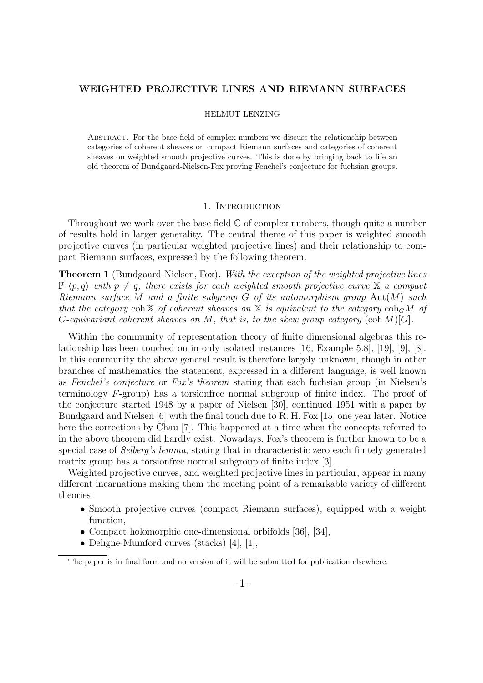## WEIGHTED PROJECTIVE LINES AND RIEMANN SURFACES

### HELMUT LENZING

Abstract. For the base field of complex numbers we discuss the relationship between categories of coherent sheaves on compact Riemann surfaces and categories of coherent sheaves on weighted smooth projective curves. This is done by bringing back to life an old theorem of Bundgaard-Nielsen-Fox proving Fenchel's conjecture for fuchsian groups.

### 1. INTRODUCTION

Throughout we work over the base field  $\mathbb C$  of complex numbers, though quite a number of results hold in larger generality. The central theme of this paper is weighted smooth projective curves (in particular weighted projective lines) and their relationship to compact Riemann surfaces, expressed by the following theorem.

Theorem 1 (Bundgaard-Nielsen, Fox). With the exception of the weighted projective lines  $\mathbb{P}^1(p,q)$  with  $p \neq q$ , there exists for each weighted smooth projective curve X a compact Riemann surface M and a finite subgroup G of its automorphism group  $\text{Aut}(M)$  such that the category coh X of coherent sheaves on X is equivalent to the category  $\cosh_G M$  of G-equivariant coherent sheaves on M, that is, to the skew group category  $(\text{coh }M)[G]$ .

Within the community of representation theory of finite dimensional algebras this relationship has been touched on in only isolated instances [16, Example 5.8], [19], [9], [8]. In this community the above general result is therefore largely unknown, though in other branches of mathematics the statement, expressed in a different language, is well known as Fenchel's conjecture or Fox's theorem stating that each fuchsian group (in Nielsen's terminology F-group) has a torsionfree normal subgroup of finite index. The proof of the conjecture started 1948 by a paper of Nielsen [30], continued 1951 with a paper by Bundgaard and Nielsen [6] with the final touch due to R. H. Fox [15] one year later. Notice here the corrections by Chau [7]. This happened at a time when the concepts referred to in the above theorem did hardly exist. Nowadays, Fox's theorem is further known to be a special case of Selberg's lemma, stating that in characteristic zero each finitely generated matrix group has a torsionfree normal subgroup of finite index [3].

Weighted projective curves, and weighted projective lines in particular, appear in many different incarnations making them the meeting point of a remarkable variety of different theories:

- Smooth projective curves (compact Riemann surfaces), equipped with a weight function,
- Compact holomorphic one-dimensional orbifolds [36], [34],
- Deligne-Mumford curves (stacks) [4], [1],

The paper is in final form and no version of it will be submitted for publication elsewhere.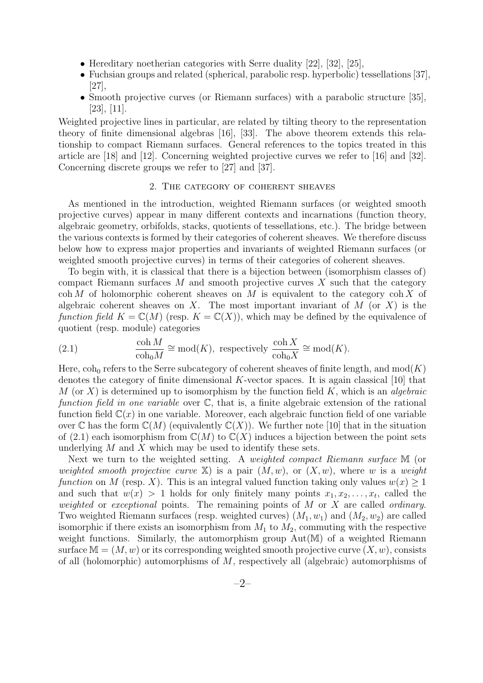- Hereditary noetherian categories with Serre duality [22], [32], [25],
- Fuchsian groups and related (spherical, parabolic resp. hyperbolic) tessellations [37], [27],
- Smooth projective curves (or Riemann surfaces) with a parabolic structure [35],  $[23], [11].$

Weighted projective lines in particular, are related by tilting theory to the representation theory of finite dimensional algebras [16], [33]. The above theorem extends this relationship to compact Riemann surfaces. General references to the topics treated in this article are [18] and [12]. Concerning weighted projective curves we refer to [16] and [32]. Concerning discrete groups we refer to [27] and [37].

# 2. The category of coherent sheaves

As mentioned in the introduction, weighted Riemann surfaces (or weighted smooth projective curves) appear in many different contexts and incarnations (function theory, algebraic geometry, orbifolds, stacks, quotients of tessellations, etc.). The bridge between the various contexts is formed by their categories of coherent sheaves. We therefore discuss below how to express major properties and invariants of weighted Riemann surfaces (or weighted smooth projective curves) in terms of their categories of coherent sheaves.

To begin with, it is classical that there is a bijection between (isomorphism classes of) compact Riemann surfaces  $M$  and smooth projective curves  $X$  such that the category coh M of holomorphic coherent sheaves on M is equivalent to the category coh X of algebraic coherent sheaves on X. The most important invariant of  $M$  (or  $X$ ) is the function field  $K = \mathbb{C}(M)$  (resp.  $K = \mathbb{C}(X)$ ), which may be defined by the equivalence of quotient (resp. module) categories

(2.1) 
$$
\frac{\cosh M}{\cosh_0 M} \cong \text{mod}(K), \text{ respectively } \frac{\cosh X}{\cosh_0 X} \cong \text{mod}(K).
$$

Here,  $\cosh_0$  refers to the Serre subcategory of coherent sheaves of finite length, and  $mod(K)$ denotes the category of finite dimensional  $K$ -vector spaces. It is again classical [10] that M (or X) is determined up to isomorphism by the function field K, which is an algebraic function field in one variable over  $\mathbb{C}$ , that is, a finite algebraic extension of the rational function field  $\mathbb{C}(x)$  in one variable. Moreover, each algebraic function field of one variable over  $\mathbb C$  has the form  $\mathbb C(M)$  (equivalently  $\mathbb C(X)$ ). We further note [10] that in the situation of (2.1) each isomorphism from  $\mathbb{C}(M)$  to  $\mathbb{C}(X)$  induces a bijection between the point sets underlying  $M$  and  $X$  which may be used to identify these sets.

Next we turn to the weighted setting. A weighted compact Riemann surface M (or weighted smooth projective curve  $X$ ) is a pair  $(M, w)$ , or  $(X, w)$ , where w is a weight function on M (resp. X). This is an integral valued function taking only values  $w(x) \geq 1$ and such that  $w(x) > 1$  holds for only finitely many points  $x_1, x_2, \ldots, x_t$ , called the weighted or exceptional points. The remaining points of  $M$  or  $X$  are called ordinary. Two weighted Riemann surfaces (resp. weighted curves)  $(M_1, w_1)$  and  $(M_2, w_2)$  are called isomorphic if there exists an isomorphism from  $M_1$  to  $M_2$ , commuting with the respective weight functions. Similarly, the automorphism group Aut(M) of a weighted Riemann surface  $\mathbb{M} = (M, w)$  or its corresponding weighted smooth projective curve  $(X, w)$ , consists of all (holomorphic) automorphisms of  $M$ , respectively all (algebraic) automorphisms of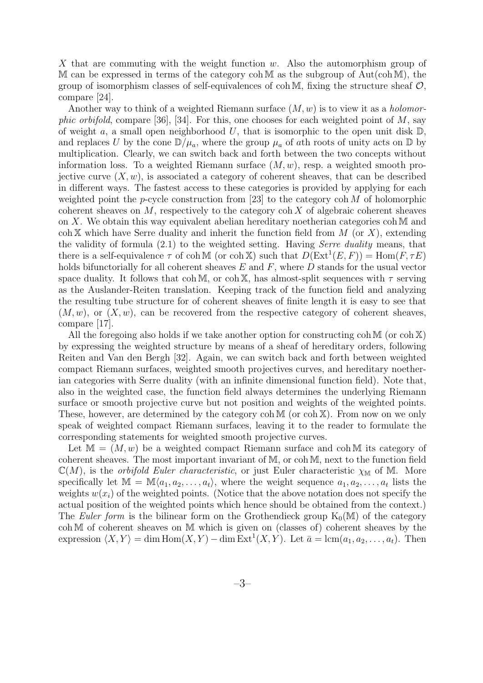X that are commuting with the weight function w. Also the automorphism group of M can be expressed in terms of the category coh M as the subgroup of Aut(coh M), the group of isomorphism classes of self-equivalences of coh M, fixing the structure sheaf  $\mathcal{O}$ , compare [24].

Another way to think of a weighted Riemann surface  $(M, w)$  is to view it as a *holomor*phic orbifold, compare [36], [34]. For this, one chooses for each weighted point of  $M$ , say of weight a, a small open neighborhood U, that is isomorphic to the open unit disk  $\mathbb{D}$ , and replaces U by the cone  $\mathbb{D}/\mu_a$ , where the group  $\mu_a$  of ath roots of unity acts on  $\mathbb{D}$  by multiplication. Clearly, we can switch back and forth between the two concepts without information loss. To a weighted Riemann surface  $(M, w)$ , resp. a weighted smooth projective curve  $(X, w)$ , is associated a category of coherent sheaves, that can be described in different ways. The fastest access to these categories is provided by applying for each weighted point the *p*-cycle construction from [23] to the category coh  $M$  of holomorphic coherent sheaves on  $M$ , respectively to the category coh  $X$  of algebraic coherent sheaves on  $X$ . We obtain this way equivalent abelian hereditary noetherian categories coh  $M$  and coh X which have Serre duality and inherit the function field from  $M$  (or  $X$ ), extending the validity of formula (2.1) to the weighted setting. Having Serre duality means, that there is a self-equivalence  $\tau$  of coh M (or coh X) such that  $D(\text{Ext}^1(E,F)) = \text{Hom}(F, \tau E)$ holds bifunctorially for all coherent sheaves  $E$  and  $F$ , where  $D$  stands for the usual vector space duality. It follows that coh M, or coh X, has almost-split sequences with  $\tau$  serving as the Auslander-Reiten translation. Keeping track of the function field and analyzing the resulting tube structure for of coherent sheaves of finite length it is easy to see that  $(M, w)$ , or  $(X, w)$ , can be recovered from the respective category of coherent sheaves, compare [17].

All the foregoing also holds if we take another option for constructing  $\text{coh } \mathbb{M}$  (or  $\text{coh } \mathbb{X}$ ) by expressing the weighted structure by means of a sheaf of hereditary orders, following Reiten and Van den Bergh [32]. Again, we can switch back and forth between weighted compact Riemann surfaces, weighted smooth projectives curves, and hereditary noetherian categories with Serre duality (with an infinite dimensional function field). Note that, also in the weighted case, the function field always determines the underlying Riemann surface or smooth projective curve but not position and weights of the weighted points. These, however, are determined by the category coh M (or coh X). From now on we only speak of weighted compact Riemann surfaces, leaving it to the reader to formulate the corresponding statements for weighted smooth projective curves.

Let  $\mathbb{M} = (M, w)$  be a weighted compact Riemann surface and coh M its category of coherent sheaves. The most important invariant of M, or coh M, next to the function field  $\mathbb{C}(M)$ , is the *orbifold Euler characteristic*, or just Euler characteristic  $\chi_M$  of M. More specifically let  $\mathbb{M} = \mathbb{M} \langle a_1, a_2, \ldots, a_t \rangle$ , where the weight sequence  $a_1, a_2, \ldots, a_t$  lists the weights  $w(x_i)$  of the weighted points. (Notice that the above notation does not specify the actual position of the weighted points which hence should be obtained from the context.) The Euler form is the bilinear form on the Grothendieck group  $K_0(\mathbb{M})$  of the category coh M of coherent sheaves on M which is given on (classes of) coherent sheaves by the expression  $\langle X, Y \rangle = \dim \text{Hom}(X, Y) - \dim \text{Ext}^1(X, Y)$ . Let  $\bar{a} = \text{lcm}(a_1, a_2, \dots, a_t)$ . Then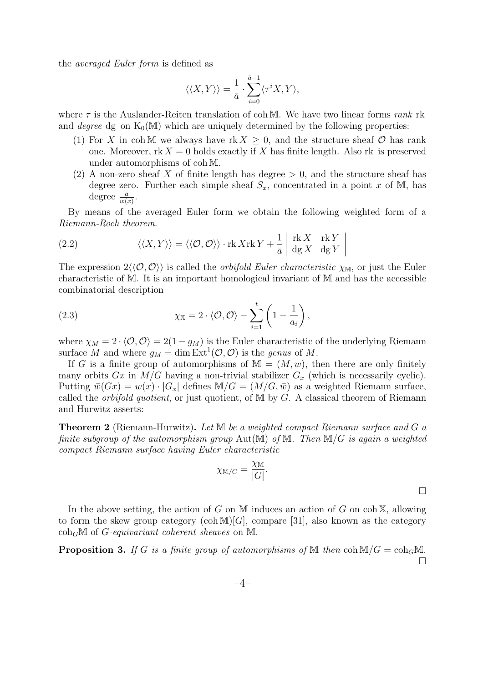the averaged Euler form is defined as

$$
\langle \langle X, Y \rangle \rangle = \frac{1}{\bar{a}} \cdot \sum_{i=0}^{\bar{a}-1} \langle \tau^i X, Y \rangle,
$$

where  $\tau$  is the Auslander-Reiten translation of coh M. We have two linear forms rank rk and *degree* dg on  $K_0(\mathbb{M})$  which are uniquely determined by the following properties:

- (1) For X in coh M we always have rk  $X > 0$ , and the structure sheaf O has rank one. Moreover,  $rk X = 0$  holds exactly if X has finite length. Also rk is preserved under automorphisms of coh M.
- (2) A non-zero sheaf X of finite length has degree  $> 0$ , and the structure sheaf has degree zero. Further each simple sheaf  $S_x$ , concentrated in a point x of M, has degree  $\frac{\bar{a}}{w(x)}$ .

By means of the averaged Euler form we obtain the following weighted form of a Riemann-Roch theorem.

(2.2) 
$$
\langle \langle X, Y \rangle \rangle = \langle \langle \mathcal{O}, \mathcal{O} \rangle \rangle \cdot \text{rk } X \text{rk } Y + \frac{1}{\bar{a}} \begin{vmatrix} \text{rk } X & \text{rk } Y \\ \text{dg } X & \text{dg } Y \end{vmatrix}
$$

The expression  $2\langle\langle \mathcal{O}, \mathcal{O}\rangle\rangle$  is called the *orbifold Euler characteristic*  $\chi_M$ , or just the Euler characteristic of M. It is an important homological invariant of M and has the accessible combinatorial description

(2.3) 
$$
\chi_{\mathbb{X}} = 2 \cdot \langle \mathcal{O}, \mathcal{O} \rangle - \sum_{i=1}^{t} \left( 1 - \frac{1}{a_i} \right),
$$

where  $\chi_M = 2 \cdot \langle \mathcal{O}, \mathcal{O} \rangle = 2(1 - g_M)$  is the Euler characteristic of the underlying Riemann surface M and where  $g_M = \dim \text{Ext}^1(\mathcal{O}, \mathcal{O})$  is the genus of M.

If G is a finite group of automorphisms of  $\mathbb{M} = (M, w)$ , then there are only finitely many orbits  $Gx$  in  $M/G$  having a non-trivial stabilizer  $G_x$  (which is necessarily cyclic). Putting  $\bar{w}(Gx) = w(x) \cdot |G_x|$  defines  $M/G = (M/G, \bar{w})$  as a weighted Riemann surface, called the *orbifold quotient*, or just quotient, of  $M$  by  $G$ . A classical theorem of Riemann and Hurwitz asserts:

**Theorem 2** (Riemann-Hurwitz). Let M be a weighted compact Riemann surface and G a finite subgroup of the automorphism group Aut(M) of M. Then  $M/G$  is again a weighted compact Riemann surface having Euler characteristic

$$
\chi_{\mathbb{M}/G} = \frac{\chi_{\mathbb{M}}}{|G|}.
$$

 $\Box$ 

In the above setting, the action of G on M induces an action of G on coh X, allowing to form the skew group category  $(\text{coh } \mathbb{M})[G]$ , compare [31], also known as the category  $\text{coh}_G \mathbb{M}$  of *G*-equivariant coherent sheaves on M.

**Proposition 3.** If G is a finite group of automorphisms of M then  $\text{coh } \mathbb{M}/G = \text{coh } \mathbb{G} \mathbb{M}$ .  $\Box$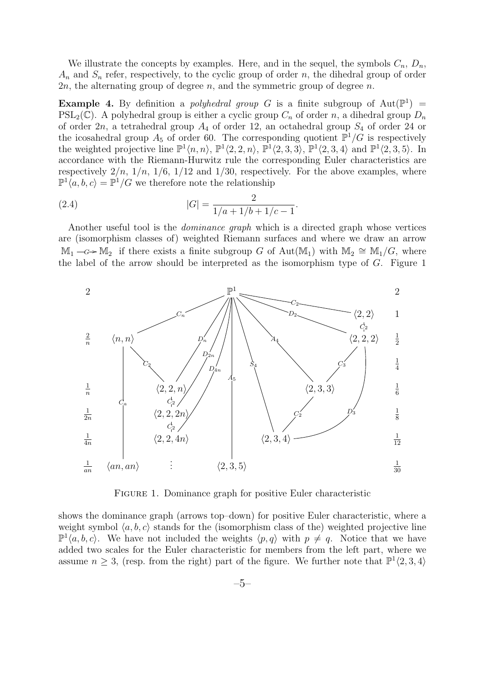We illustrate the concepts by examples. Here, and in the sequel, the symbols  $C_n$ ,  $D_n$ ,  $A_n$  and  $S_n$  refer, respectively, to the cyclic group of order n, the dihedral group of order  $2n$ , the alternating group of degree n, and the symmetric group of degree n.

**Example 4.** By definition a *polyhedral group* G is a finite subgroup of Aut $(\mathbb{P}^1)$  =  $PSL_2(\mathbb{C})$ . A polyhedral group is either a cyclic group  $C_n$  of order n, a dihedral group  $D_n$ of order  $2n$ , a tetrahedral group  $A_4$  of order 12, an octahedral group  $S_4$  of order 24 or the icosahedral group  $A_5$  of order 60. The corresponding quotient  $\mathbb{P}^1/G$  is respectively the weighted projective line  $\mathbb{P}^1\langle n,n\rangle$ ,  $\mathbb{P}^1\langle 2,2,n\rangle$ ,  $\mathbb{P}^1\langle 2,3,3\rangle$ ,  $\mathbb{P}^1\langle 2,3,4\rangle$  and  $\mathbb{P}^1\langle 2,3,5\rangle$ . In accordance with the Riemann-Hurwitz rule the corresponding Euler characteristics are respectively  $2/n$ ,  $1/n$ ,  $1/6$ ,  $1/12$  and  $1/30$ , respectively. For the above examples, where  $\mathbb{P}^1\langle a,b,c\rangle = \mathbb{P}^1/G$  we therefore note the relationship

(2.4) 
$$
|G| = \frac{2}{1/a + 1/b + 1/c - 1}.
$$

Another useful tool is the dominance graph which is a directed graph whose vertices are (isomorphism classes of) weighted Riemann surfaces and where we draw an arrow  $\mathbb{M}_1$  – $G \rightarrow \mathbb{M}_2$  if there exists a finite subgroup G of Aut( $\mathbb{M}_1$ ) with  $\mathbb{M}_2 \cong \mathbb{M}_1/G$ , where the label of the arrow should be interpreted as the isomorphism type of G. Figure 1



Figure 1. Dominance graph for positive Euler characteristic

shows the dominance graph (arrows top–down) for positive Euler characteristic, where a weight symbol  $\langle a, b, c \rangle$  stands for the (isomorphism class of the) weighted projective line  $\mathbb{P}^1(a, b, c)$ . We have not included the weights  $\langle p, q \rangle$  with  $p \neq q$ . Notice that we have added two scales for the Euler characteristic for members from the left part, where we assume  $n \geq 3$ , (resp. from the right) part of the figure. We further note that  $\mathbb{P}^1\langle 2,3,4\rangle$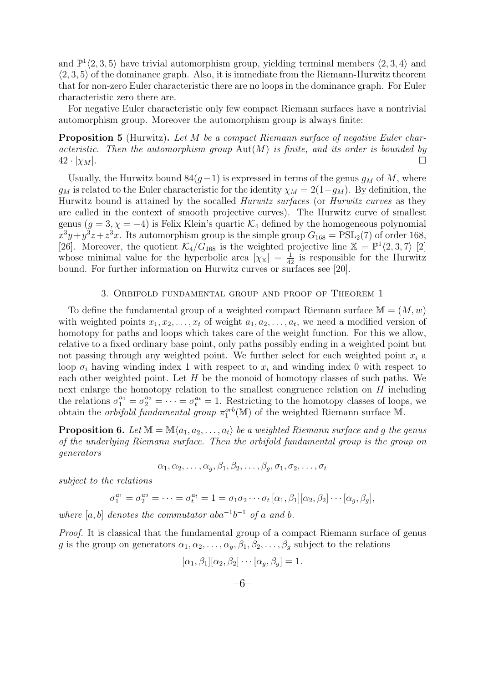and  $\mathbb{P}^1\langle 2,3,5\rangle$  have trivial automorphism group, yielding terminal members  $\langle 2,3,4\rangle$  and  $\langle 2, 3, 5 \rangle$  of the dominance graph. Also, it is immediate from the Riemann-Hurwitz theorem that for non-zero Euler characteristic there are no loops in the dominance graph. For Euler characteristic zero there are.

For negative Euler characteristic only few compact Riemann surfaces have a nontrivial automorphism group. Moreover the automorphism group is always finite:

**Proposition 5** (Hurwitz). Let M be a compact Riemann surface of negative Euler characteristic. Then the automorphism group  $\text{Aut}(M)$  is finite, and its order is bounded by  $42 \cdot |\chi_M|$ .

Usually, the Hurwitz bound  $84(g-1)$  is expressed in terms of the genus  $g_M$  of M, where  $g_M$  is related to the Euler characteristic for the identity  $\chi_M = 2(1-g_M)$ . By definition, the Hurwitz bound is attained by the socalled Hurwitz surfaces (or Hurwitz curves as they are called in the context of smooth projective curves). The Hurwitz curve of smallest genus ( $g = 3, \chi = -4$ ) is Felix Klein's quartic  $\mathcal{K}_4$  defined by the homogeneous polynomial  $x^3y+y^3z+z^3x$ . Its automorphism group is the simple group  $G_{168} = \text{PSL}_2(7)$  of order 168, [26]. Moreover, the quotient  $\mathcal{K}_4/\overline{G}_{168}$  is the weighted projective line  $\mathbb{X} = \mathbb{P}^1\langle 2,3,7\rangle$  [2] whose minimal value for the hyperbolic area  $|\chi_{\rm X}| = \frac{1}{42}$  is responsible for the Hurwitz bound. For further information on Hurwitz curves or surfaces see [20].

### 3. Orbifold fundamental group and proof of Theorem 1

To define the fundamental group of a weighted compact Riemann surface  $\mathbb{M} = (M, w)$ with weighted points  $x_1, x_2, \ldots, x_t$  of weight  $a_1, a_2, \ldots, a_t$ , we need a modified version of homotopy for paths and loops which takes care of the weight function. For this we allow, relative to a fixed ordinary base point, only paths possibly ending in a weighted point but not passing through any weighted point. We further select for each weighted point  $x_i$  a loop  $\sigma_i$  having winding index 1 with respect to  $x_i$  and winding index 0 with respect to each other weighted point. Let  $H$  be the monoid of homotopy classes of such paths. We next enlarge the homotopy relation to the smallest congruence relation on H including the relations  $\sigma_1^{a_1} = \sigma_2^{a_2} = \cdots = \sigma_t^{a_t} = 1$ . Restricting to the homotopy classes of loops, we obtain the *orbifold fundamental group*  $\pi_1^{orb}(\mathbb{M})$  of the weighted Riemann surface M.

**Proposition 6.** Let  $\mathbb{M} = \mathbb{M}\langle a_1, a_2, \ldots, a_t \rangle$  be a weighted Riemann surface and g the genus of the underlying Riemann surface. Then the orbifold fundamental group is the group on generators

$$
\alpha_1, \alpha_2, \ldots, \alpha_g, \beta_1, \beta_2, \ldots, \beta_g, \sigma_1, \sigma_2, \ldots, \sigma_t
$$

subject to the relations

$$
\sigma_1^{a_1} = \sigma_2^{a_2} = \cdots = \sigma_t^{a_t} = 1 = \sigma_1 \sigma_2 \cdots \sigma_t [\alpha_1, \beta_1][\alpha_2, \beta_2] \cdots [\alpha_g, \beta_g],
$$

where [a, b] denotes the commutator  $aba^{-1}b^{-1}$  of a and b.

Proof. It is classical that the fundamental group of a compact Riemann surface of genus g is the group on generators  $\alpha_1, \alpha_2, \ldots, \alpha_q, \beta_1, \beta_2, \ldots, \beta_q$  subject to the relations

$$
[\alpha_1, \beta_1][\alpha_2, \beta_2] \cdots [\alpha_g, \beta_g] = 1.
$$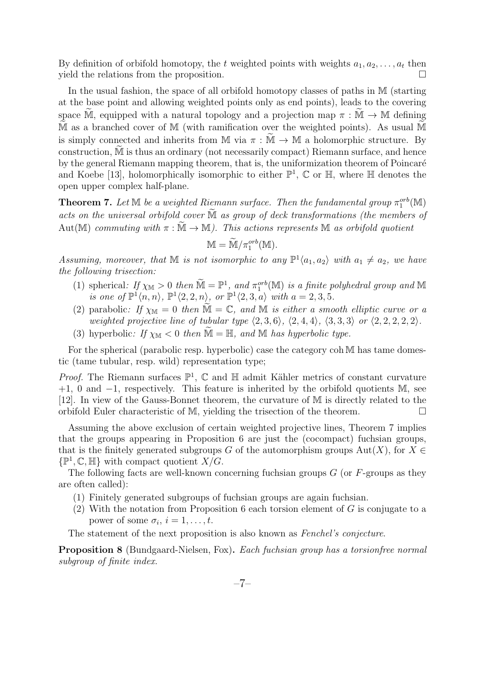By definition of orbifold homotopy, the t weighted points with weights  $a_1, a_2, \ldots, a_t$  then yield the relations from the proposition.  $\Box$ 

In the usual fashion, the space of all orbifold homotopy classes of paths in M (starting at the base point and allowing weighted points only as end points), leads to the covering space M, equipped with a natural topology and a projection map  $\pi : \widetilde{M} \to M$  defining  $M$  as a branched cover of  $M$  (with ramification over the weighted points). As usual  $M$ is simply connected and inherits from M via  $\pi : \mathbb{M} \to \mathbb{M}$  a holomorphic structure. By construction,  $\tilde{M}$  is thus an ordinary (not necessarily compact) Riemann surface, and hence by the general Riemann mapping theorem, that is, the uniformization theorem of Poincaré and Koebe [13], holomorphically isomorphic to either  $\mathbb{P}^1$ ,  $\mathbb C$  or  $\mathbb H$ , where  $\mathbb H$  denotes the open upper complex half-plane.

**Theorem 7.** Let  $M$  be a weighted Riemann surface. Then the fundamental group  $\pi_1^{orb}(M)$ acts on the universal orbifold cover  $\tilde{M}$  as group of deck transformations (the members of Aut(M) commuting with  $\pi : \tilde{M} \to M$ ). This actions represents M as orbifold quotient

$$
\mathbb{M}=\widetilde{\mathbb{M}}/\pi_1^{orb}(\mathbb{M}).
$$

Assuming, moreover, that M is not isomorphic to any  $\mathbb{P}^1\langle a_1, a_2 \rangle$  with  $a_1 \neq a_2$ , we have the following trisection:

- (1) spherical: If  $\chi_{\mathbb{M}} > 0$  then  $\widetilde{\mathbb{M}} = \mathbb{P}^1$ , and  $\pi_1^{orb}(\mathbb{M})$  is a finite polyhedral group and  $\mathbb{M}$ is one of  $\mathbb{P}^1\langle n,n\rangle$ ,  $\mathbb{P}^1\langle 2,2,n\rangle$ , or  $\mathbb{P}^1\langle 2,3,a\rangle$  with  $a=2,3,5$ .
- (2) parabolic: If  $\chi_{\mathbb{M}} = 0$  then  $\widetilde{\mathbb{M}} = \mathbb{C}$ , and  $\mathbb{M}$  is either a smooth elliptic curve or a weighted projective line of tubular type  $\langle 2, 3, 6 \rangle$ ,  $\langle 2, 4, 4 \rangle$ ,  $\langle 3, 3, 3 \rangle$  or  $\langle 2, 2, 2, 2, 2 \rangle$ .
- (3) hyperbolic: If  $\chi_{\mathbb{M}} < 0$  then  $\mathbb{M} = \mathbb{H}$ , and  $\mathbb{M}$  has hyperbolic type.

For the spherical (parabolic resp. hyperbolic) case the category coh M has tame domestic (tame tubular, resp. wild) representation type;

*Proof.* The Riemann surfaces  $\mathbb{P}^1$ ,  $\mathbb C$  and  $\mathbb H$  admit Kähler metrics of constant curvature +1, 0 and −1, respectively. This feature is inherited by the orbifold quotients M, see [12]. In view of the Gauss-Bonnet theorem, the curvature of M is directly related to the orbifold Euler characteristic of M, yielding the trisection of the theorem.  $\Box$ 

Assuming the above exclusion of certain weighted projective lines, Theorem 7 implies that the groups appearing in Proposition 6 are just the (cocompact) fuchsian groups, that is the finitely generated subgroups G of the automorphism groups  $Aut(X)$ , for  $X \in$  $\{\mathbb{P}^1, \mathbb{C}, \mathbb{H}\}$  with compact quotient  $X/G$ .

The following facts are well-known concerning fuchsian groups  $G$  (or  $F$ -groups as they are often called):

- (1) Finitely generated subgroups of fuchsian groups are again fuchsian.
- $(2)$  With the notation from Proposition 6 each torsion element of G is conjugate to a power of some  $\sigma_i$ ,  $i = 1, \ldots, t$ .

The statement of the next proposition is also known as Fenchel's conjecture.

Proposition 8 (Bundgaard-Nielsen, Fox). Each fuchsian group has a torsionfree normal subgroup of finite index.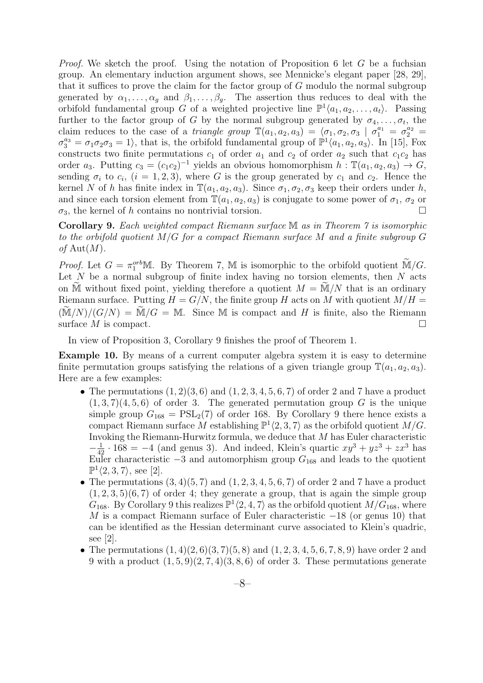*Proof.* We sketch the proof. Using the notation of Proposition 6 let G be a fuchsian group. An elementary induction argument shows, see Mennicke's elegant paper [28, 29], that it suffices to prove the claim for the factor group of G modulo the normal subgroup generated by  $\alpha_1, \ldots, \alpha_g$  and  $\beta_1, \ldots, \beta_g$ . The assertion thus reduces to deal with the orbifold fundamental group G of a weighted projective line  $\mathbb{P}^1\langle a_1, a_2, \ldots, a_t \rangle$ . Passing further to the factor group of G by the normal subgroup generated by  $\sigma_4, \ldots, \sigma_t$ , the claim reduces to the case of a *triangle group*  $\mathbb{T}(a_1, a_2, a_3) = \langle \sigma_1, \sigma_2, \sigma_3 | \sigma_1^{a_1} = \sigma_2^{a_2} =$  $\sigma_3^{a_3} = \sigma_1 \sigma_2 \sigma_3 = 1$ , that is, the orbifold fundamental group of  $\mathbb{P}^1 \langle a_1, a_2, a_3 \rangle$ . In [15], Fox constructs two finite permutations  $c_1$  of order  $a_1$  and  $c_2$  of order  $a_2$  such that  $c_1c_2$  has order  $a_3$ . Putting  $c_3 = (c_1c_2)^{-1}$  yields an obvious homomorphism  $h : \mathbb{T}(a_1, a_2, a_3) \to G$ , sending  $\sigma_i$  to  $c_i$ ,  $(i = 1, 2, 3)$ , where G is the group generated by  $c_1$  and  $c_2$ . Hence the kernel N of h has finite index in  $\mathbb{T}(a_1, a_2, a_3)$ . Since  $\sigma_1, \sigma_2, \sigma_3$  keep their orders under h, and since each torsion element from  $\mathbb{T}(a_1, a_2, a_3)$  is conjugate to some power of  $\sigma_1$ ,  $\sigma_2$  or  $\sigma_3$ , the kernel of h contains no nontrivial torsion.

Corollary 9. Each weighted compact Riemann surface M as in Theorem 7 is isomorphic to the orbifold quotient M/G for a compact Riemann surface M and a finite subgroup G of Aut $(M)$ .

*Proof.* Let  $G = \pi_1^{orb} \mathbb{M}$ . By Theorem 7,  $\mathbb{M}$  is isomorphic to the orbifold quotient  $\widetilde{\mathbb{M}}/G$ . Let  $N$  be a normal subgroup of finite index having no torsion elements, then  $N$  acts on M without fixed point, yielding therefore a quotient  $M = M/N$  that is an ordinary Riemann surface. Putting  $H = G/N$ , the finite group H acts on M with quotient  $M/H =$  $(\tilde{M}/N)/(G/N) = \tilde{M}/G = M$ . Since M is compact and H is finite, also the Riemann surface M is compact. surface M is compact.

In view of Proposition 3, Corollary 9 finishes the proof of Theorem 1.

Example 10. By means of a current computer algebra system it is easy to determine finite permutation groups satisfying the relations of a given triangle group  $\mathbb{T}(a_1, a_2, a_3)$ . Here are a few examples:

- The permutations  $(1, 2)(3, 6)$  and  $(1, 2, 3, 4, 5, 6, 7)$  of order 2 and 7 have a product  $(1, 3, 7)(4, 5, 6)$  of order 3. The generated permutation group G is the unique simple group  $G_{168} = \text{PSL}_2(7)$  of order 168. By Corollary 9 there hence exists a compact Riemann surface M establishing  $\mathbb{P}^1\langle 2,3,7\rangle$  as the orbifold quotient  $M/G$ . Invoking the Riemann-Hurwitz formula, we deduce that  $M$  has Euler characteristic  $-\frac{1}{42} \cdot 168 = -4$  (and genus 3). And indeed, Klein's quartic  $xy^3 + yz^3 + zx^3$  has Euler characteristic  $-3$  and automorphism group  $G_{168}$  and leads to the quotient  $\mathbb{P}^1\langle 2,3,7\rangle$ , see [2].
- The permutations  $(3, 4)(5, 7)$  and  $(1, 2, 3, 4, 5, 6, 7)$  of order 2 and 7 have a product  $(1, 2, 3, 5)(6, 7)$  of order 4; they generate a group, that is again the simple group  $G_{168}$ . By Corollary 9 this realizes  $\mathbb{P}^1\langle 2, 4, 7 \rangle$  as the orbifold quotient  $M/G_{168}$ , where M is a compact Riemann surface of Euler characteristic  $-18$  (or genus 10) that can be identified as the Hessian determinant curve associated to Klein's quadric, see [2].
- The permutations  $(1, 4)(2, 6)(3, 7)(5, 8)$  and  $(1, 2, 3, 4, 5, 6, 7, 8, 9)$  have order 2 and 9 with a product  $(1, 5, 9)(2, 7, 4)(3, 8, 6)$  of order 3. These permutations generate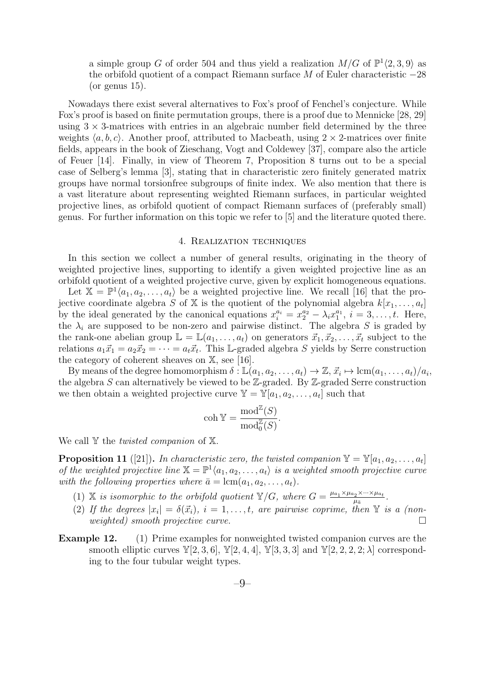a simple group G of order 504 and thus yield a realization  $M/G$  of  $\mathbb{P}^1\langle 2,3,9\rangle$  as the orbifold quotient of a compact Riemann surface  $M$  of Euler characteristic  $-28$ (or genus  $15$ ).

Nowadays there exist several alternatives to Fox's proof of Fenchel's conjecture. While Fox's proof is based on finite permutation groups, there is a proof due to Mennicke [28, 29] using  $3 \times 3$ -matrices with entries in an algebraic number field determined by the three weights  $\langle a, b, c \rangle$ . Another proof, attributed to Macbeath, using  $2 \times 2$ -matrices over finite fields, appears in the book of Zieschang, Vogt and Coldewey [37], compare also the article of Feuer [14]. Finally, in view of Theorem 7, Proposition 8 turns out to be a special case of Selberg's lemma [3], stating that in characteristic zero finitely generated matrix groups have normal torsionfree subgroups of finite index. We also mention that there is a vast literature about representing weighted Riemann surfaces, in particular weighted projective lines, as orbifold quotient of compact Riemann surfaces of (preferably small) genus. For further information on this topic we refer to [5] and the literature quoted there.

#### 4. REALIZATION TECHNIQUES

In this section we collect a number of general results, originating in the theory of weighted projective lines, supporting to identify a given weighted projective line as an orbifold quotient of a weighted projective curve, given by explicit homogeneous equations.

Let  $\mathbb{X} = \mathbb{P}^1 \langle a_1, a_2, \ldots, a_t \rangle$  be a weighted projective line. We recall [16] that the projective coordinate algebra S of X is the quotient of the polynomial algebra  $k[x_1, \ldots, a_t]$ by the ideal generated by the canonical equations  $x_i^{a_i} = x_2^{a_2} - \lambda_i x_1^{a_1}$ ,  $i = 3, \ldots, t$ . Here, the  $\lambda_i$  are supposed to be non-zero and pairwise distinct. The algebra S is graded by the rank-one abelian group  $\mathbb{L} = \mathbb{L}(a_1, \ldots, a_t)$  on generators  $\vec{x}_1, \vec{x}_2, \ldots, \vec{x}_t$  subject to the relations  $a_1\vec{x}_1 = a_2\vec{x}_2 = \cdots = a_t\vec{x}_t$ . This L-graded algebra S yields by Serre construction the category of coherent sheaves on X, see [16].

By means of the degree homomorphism  $\delta : \mathbb{L}(a_1, a_2, \ldots, a_t) \to \mathbb{Z}, \vec{x}_i \mapsto \text{lcm}(a_1, \ldots, a_t)/a_i$ the algebra S can alternatively be viewed to be  $\mathbb{Z}$ -graded. By  $\mathbb{Z}$ -graded Serre construction we then obtain a weighted projective curve  $\mathbb{Y} = \mathbb{Y}[a_1, a_2, \dots, a_t]$  such that

$$
\operatorname{coh} \mathbb{Y} = \frac{\operatorname{mod}^{\mathbb{Z}}(S)}{\operatorname{mod}_0^{\mathbb{Z}}(S)}.
$$

We call  $Y$  the *twisted companion* of  $X$ .

**Proposition 11** ([21]). In characteristic zero, the twisted companion  $\mathbb{Y} = \mathbb{Y}[a_1, a_2, \ldots, a_t]$ of the weighted projective line  $\mathbb{X} = \mathbb{P}^1 \langle a_1, a_2, \ldots, a_t \rangle$  is a weighted smooth projective curve with the following properties where  $\bar{a} = \text{lcm}(a_1, a_2, \ldots, a_t)$ .

- (1) X is isomorphic to the orbifold quotient  $\mathbb{Y}/G$ , where  $G = \frac{\mu_{a_1} \times \mu_{a_2} \times \cdots \times \mu_{a_t}}{\mu_{a_t}}$  $\frac{\mu_2 \times \cdots \times \mu_{a_t}}{\mu_{\bar{a}}}$  .
- (2) If the degrees  $|x_i| = \delta(\vec{x}_i)$ ,  $i = 1, \ldots, t$ , are pairwise coprime, then Y is a (nonweighted) smooth projective curve.
- Example 12. (1) Prime examples for nonweighted twisted companion curves are the smooth elliptic curves  $\mathbb{Y}[2, 3, 6]$ ,  $\mathbb{Y}[2, 4, 4]$ ,  $\mathbb{Y}[3, 3, 3]$  and  $\mathbb{Y}[2, 2, 2, 2; \lambda]$  corresponding to the four tubular weight types.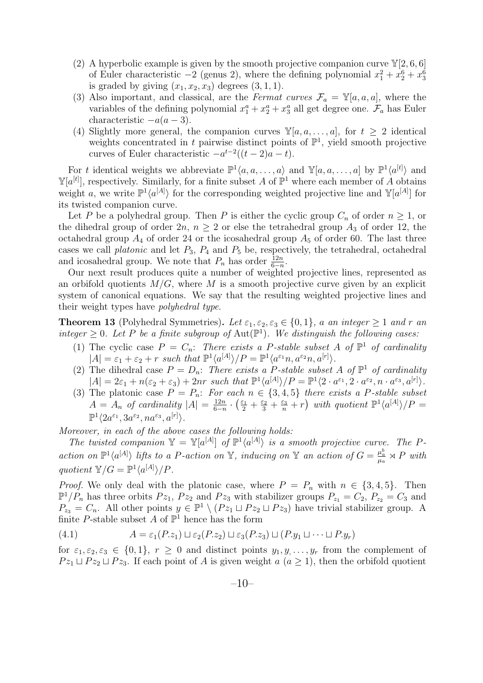- (2) A hyperbolic example is given by the smooth projective companion curve  $\mathbb{Y}[2, 6, 6]$ of Euler characteristic  $-2$  (genus 2), where the defining polynomial  $x_1^2 + x_2^6 + x_3^6$ is graded by giving  $(x_1, x_2, x_3)$  degrees  $(3, 1, 1)$ .
- (3) Also important, and classical, are the Fermat curves  $\mathcal{F}_a = \mathbb{Y}[a, a, a]$ , where the variables of the defining polynomial  $x_1^a + x_2^a + x_3^a$  all get degree one.  $\mathcal{F}_a$  has Euler characteristic  $-a(a-3)$ .
- (4) Slightly more general, the companion curves  $\mathbb{Y}[a, a, \ldots, a]$ , for  $t > 2$  identical weights concentrated in t pairwise distinct points of  $\mathbb{P}^1$ , yield smooth projective curves of Euler characteristic  $-a^{t-2}((t-2)a - t)$ .

For t identical weights we abbreviate  $\mathbb{P}^1\langle a, a, \ldots, a \rangle$  and  $\mathbb{Y}[a, a, \ldots, a]$  by  $\mathbb{P}^1\langle a^{[t]} \rangle$  and  $\mathbb{Y}[a^{[t]}]$ , respectively. Similarly, for a finite subset A of  $\mathbb{P}^1$  where each member of A obtains weight a, we write  $\mathbb{P}^1\langle a^{[A]} \rangle$  for the corresponding weighted projective line and  $\mathbb{Y}[a^{[A]}]$  for its twisted companion curve.

Let P be a polyhedral group. Then P is either the cyclic group  $C_n$  of order  $n \geq 1$ , or the dihedral group of order  $2n, n \geq 2$  or else the tetrahedral group  $A_3$  of order 12, the octahedral group  $A_4$  of order 24 or the icosahedral group  $A_5$  of order 60. The last three cases we call *platonic* and let  $P_3$ ,  $P_4$  and  $P_5$  be, respectively, the tetrahedral, octahedral and icosahedral group. We note that  $P_n$  has order  $\frac{12n}{6-n}$ .

Our next result produces quite a number of weighted projective lines, represented as an orbifold quotients  $M/G$ , where M is a smooth projective curve given by an explicit system of canonical equations. We say that the resulting weighted projective lines and their weight types have polyhedral type.

**Theorem 13** (Polyhedral Symmetries). Let  $\varepsilon_1, \varepsilon_2, \varepsilon_3 \in \{0, 1\}$ , a an integer  $\geq 1$  and r an integer  $\geq 0$ . Let P be a finite subgroup of Aut( $\mathbb{P}^1$ ). We distinguish the following cases:

- (1) The cyclic case  $P = C_n$ : There exists a P-stable subset A of  $\mathbb{P}^1$  of cardinality  $|A| = \varepsilon_1 + \varepsilon_2 + r$  such that  $\mathbb{P}^1 \langle a^{[A]} \rangle / P = \mathbb{P}^1 \langle a^{\varepsilon_1} n, a^{\varepsilon_2} n, a^{[r]} \rangle$ .
- (2) The dihedral case  $P = D_n$ : There exists a P-stable subset A of  $\mathbb{P}^1$  of cardinality  $|A| = 2\varepsilon_1 + n(\varepsilon_2 + \varepsilon_3) + 2nr \text{ such that } \mathbb{P}^1 \langle a^{[A]}\rangle / P = \mathbb{P}^1 \langle 2 \cdot a^{\varepsilon_1}, 2 \cdot a^{\varepsilon_2}, n \cdot a^{\varepsilon_3}, a^{[r]} \rangle.$
- (3) The platonic case  $P = P_n$ : For each  $n \in \{3, 4, 5\}$  there exists a P-stable subset  $A = A_n$  of cardinality  $|A| = \frac{12n}{6-n}$  $\frac{12n}{6-n} \cdot \left(\frac{\varepsilon_1}{2} + \frac{\varepsilon_2}{3} + \frac{\varepsilon_3}{n} + r\right)$  with quotient  $\mathbb{P}^1 \langle a^{[A]} \rangle / P =$  $\mathbb{P}^1\langle 2a^{\varepsilon_1},3a^{\varepsilon_2},na^{\varepsilon_3},a^{[r]}\rangle.$

Moreover, in each of the above cases the following holds:

The twisted companion  $\mathbb{Y} = \mathbb{Y}[a^{[A]}]$  of  $\mathbb{P}^1\langle a^{[A]} \rangle$  is a smooth projective curve. The Paction on  $\mathbb{P}^1 \langle a^{[A]} \rangle$  lifts to a P-action on Y, inducing on Y an action of  $G = \frac{\mu_a^b}{\mu_a} \rtimes P$  with quotient  $\mathbb{Y}/G = \mathbb{P}^1 \langle a^{[A]} \rangle / P$ .

*Proof.* We only deal with the platonic case, where  $P = P_n$  with  $n \in \{3, 4, 5\}$ . Then  $\mathbb{P}^1/P_n$  has three orbits  $Pz_1$ ,  $Pz_2$  and  $Pz_3$  with stabilizer groups  $P_{z_1} = C_2$ ,  $P_{z_2} = C_3$  and  $P_{z_3} = C_n$ . All other points  $y \in \mathbb{P}^1 \setminus (P_{z_1} \sqcup P_{z_2} \sqcup P_{z_3})$  have trivial stabilizer group. A finite P-stable subset  $A$  of  $\mathbb{P}^1$  hence has the form

(4.1) 
$$
A = \varepsilon_1(P.z_1) \sqcup \varepsilon_2(P.z_2) \sqcup \varepsilon_3(P.z_3) \sqcup (P.y_1 \sqcup \cdots \sqcup P.y_r)
$$

for  $\varepsilon_1, \varepsilon_2, \varepsilon_3 \in \{0, 1\}, r \ge 0$  and distinct points  $y_1, y, \ldots, y_r$  from the complement of  $P_{z_1} \sqcup P_{z_2} \sqcup P_{z_3}$ . If each point of A is given weight  $a$   $(a \ge 1)$ , then the orbifold quotient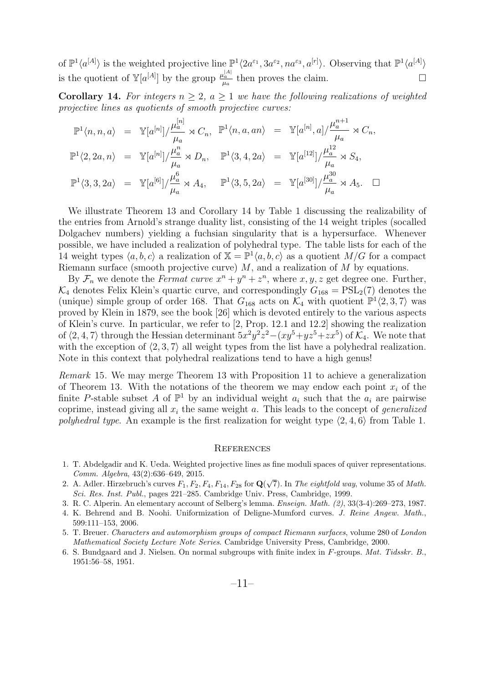of  $\mathbb{P}^1\langle a^{[A]}\rangle$  is the weighted projective line  $\mathbb{P}^1\langle 2a^{\varepsilon_1}, 3a^{\varepsilon_2}, na^{\varepsilon_3}, a^{[r]}\rangle$ . Observing that  $\mathbb{P}^1\langle a^{[A]}\rangle$ is the quotient of  $\mathbb{Y}[a^{[A]}]$  by the group  $\frac{\mu_a^{[A]}}{\mu_a}$  then proves the claim.

Corollary 14. For integers  $n > 2$ ,  $a > 1$  we have the following realizations of weighted projective lines as quotients of smooth projective curves:

$$
\mathbb{P}^1 \langle n, n, a \rangle = \mathbb{Y}[a^{[n]}]/\frac{\mu_a^{[n]}}{\mu_a} \rtimes C_n, \quad \mathbb{P}^1 \langle n, a, an \rangle = \mathbb{Y}[a^{[n]}, a]/\frac{\mu_a^{n+1}}{\mu_a} \rtimes C_n,
$$
  

$$
\mathbb{P}^1 \langle 2, 2a, n \rangle = \mathbb{Y}[a^{[n]}]/\frac{\mu_a^n}{\mu_a} \rtimes D_n, \quad \mathbb{P}^1 \langle 3, 4, 2a \rangle = \mathbb{Y}[a^{[12]}]/\frac{\mu_a^{12}}{\mu_a} \rtimes S_4,
$$
  

$$
\mathbb{P}^1 \langle 3, 3, 2a \rangle = \mathbb{Y}[a^{[6]}]/\frac{\mu_a^6}{\mu_a} \rtimes A_4, \quad \mathbb{P}^1 \langle 3, 5, 2a \rangle = \mathbb{Y}[a^{[30]}]/\frac{\mu_a^{30}}{\mu_a} \rtimes A_5. \quad \square
$$

We illustrate Theorem 13 and Corollary 14 by Table 1 discussing the realizability of the entries from Arnold's strange duality list, consisting of the 14 weight triples (socalled Dolgachev numbers) yielding a fuchsian singularity that is a hypersurface. Whenever possible, we have included a realization of polyhedral type. The table lists for each of the 14 weight types  $\langle a, b, c \rangle$  a realization of  $X = \mathbb{P}^1 \langle a, b, c \rangle$  as a quotient  $M/G$  for a compact Riemann surface (smooth projective curve)  $M$ , and a realization of  $M$  by equations.

By  $\mathcal{F}_n$  we denote the *Fermat curve*  $x^n + y^n + z^n$ , where  $x, y, z$  get degree one. Further,  $\mathcal{K}_4$  denotes Felix Klein's quartic curve, and correspondingly  $G_{168} = PSL_2(7)$  denotes the (unique) simple group of order 168. That  $G_{168}$  acts on  $\mathcal{K}_4$  with quotient  $\mathbb{P}^1\langle 2,3,7\rangle$  was proved by Klein in 1879, see the book [26] which is devoted entirely to the various aspects of Klein's curve. In particular, we refer to [2, Prop. 12.1 and 12.2] showing the realization of  $\langle 2, 4, 7 \rangle$  through the Hessian determinant  $5x^2y^2z^2 - (xy^5 + yz^5 + zx^5)$  of  $\mathcal{K}_4$ . We note that with the exception of  $\langle 2, 3, 7 \rangle$  all weight types from the list have a polyhedral realization. Note in this context that polyhedral realizations tend to have a high genus!

Remark 15. We may merge Theorem 13 with Proposition 11 to achieve a generalization of Theorem 13. With the notations of the theorem we may endow each point  $x_i$  of the finite P-stable subset A of  $\mathbb{P}^1$  by an individual weight  $a_i$  such that the  $a_i$  are pairwise coprime, instead giving all  $x_i$  the same weight  $a$ . This leads to the concept of *generalized* polyhedral type. An example is the first realization for weight type  $\langle 2, 4, 6 \rangle$  from Table 1.

## **REFERENCES**

- 1. T. Abdelgadir and K. Ueda. Weighted projective lines as fine moduli spaces of quiver representations. Comm. Algebra, 43(2):636–649, 2015. √
- 2. A. Adler. Hirzebruch's curves  $F_1, F_2, F_4, F_{14}, F_{28}$  for  $\mathbf{Q}($ 7). In The eightfold way, volume 35 of Math. Sci. Res. Inst. Publ., pages 221–285. Cambridge Univ. Press, Cambridge, 1999.
- 3. R. C. Alperin. An elementary account of Selberg's lemma. Enseign. Math. (2), 33(3-4):269–273, 1987.
- 4. K. Behrend and B. Noohi. Uniformization of Deligne-Mumford curves. J. Reine Angew. Math., 599:111–153, 2006.
- 5. T. Breuer. Characters and automorphism groups of compact Riemann surfaces, volume 280 of London Mathematical Society Lecture Note Series. Cambridge University Press, Cambridge, 2000.
- 6. S. Bundgaard and J. Nielsen. On normal subgroups with finite index in F-groups. Mat. Tidsskr. B., 1951:56–58, 1951.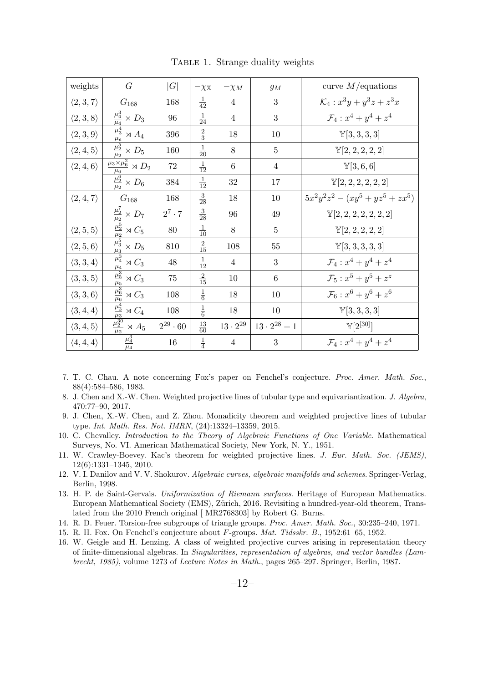| weights                   | G                                                                                | G                | $-\chi_{\mathbb{X}}$ | $-\chi_M$         | $g_{\cal M}$          | curve $M$ /equations                |
|---------------------------|----------------------------------------------------------------------------------|------------------|----------------------|-------------------|-----------------------|-------------------------------------|
| $\langle 2,3,7 \rangle$   | $G_{168}$                                                                        | 168              | $\frac{1}{42}$       | $\overline{4}$    | 3                     | $\mathcal{K}_4: x^3y + y^3z + z^3x$ |
| $\langle 2,3,8\rangle$    | $\frac{\mu_4^3}{\mu_4}\rtimes D_3$                                               | 96               | $\frac{1}{24}$       | $\overline{4}$    | 3                     | $\mathcal{F}_4: x^4 + y^4 + z^4$    |
| $\langle 2,3,9 \rangle$   | $\frac{\frac{\mu_3^4}{\mu_6} \rtimes A_4}{\frac{\mu_2^5}{\mu_2} \rtimes D_5}$    | 396              | $\frac{2}{3}$        | 18                | $10\,$                | $\mathbb{Y}[3, 3, 3, 3]$            |
| $\langle 2,4,5 \rangle$   |                                                                                  | 160              | $\frac{1}{20}$       | 8                 | $\overline{5}$        | $\mathbb{Y}[2, 2, 2, 2, 2]$         |
| $\langle 2,4,6 \rangle$   | $\frac{\mu_3 \times \mu_6^2}{\mu_6} \rtimes D_2$                                 | $72\,$           | $\frac{1}{12}$       | 6                 | $\overline{4}$        | $\mathbb{Y}[3,6,6]$                 |
|                           | $\frac{\mu_2^6}{\mu_2} \rtimes D_6$                                              | 384              | $\frac{1}{12}$       | $32\,$            | 17                    | $\mathbb{Y}[2, 2, 2, 2, 2, 2]$      |
| $\langle 2, 4, 7 \rangle$ | $\mathcal{G}_{168}$                                                              | 168              | $\frac{3}{28}$       | 18                | 10                    | $5x^2y^2z^2 - (xy^5 + yz^5 + zx^5)$ |
|                           | $rac{\mu_2^7}{\mu_2} \rtimes D_7$                                                | $2^7 \cdot 7$    | $\frac{3}{28}$       | 96                | 49                    | $\mathbb{Y}[2, 2, 2, 2, 2, 2, 2]$   |
| $\langle 2, 5, 5 \rangle$ |                                                                                  | 80               | $\frac{1}{10}$       | 8                 | $\overline{5}$        | $\mathbb{Y}[2, 2, 2, 2, 2]$         |
| $\langle 2, 5, 6 \rangle$ | $rac{\frac{\mu_2^5}{\mu_2^5} \times C_5}{\frac{\mu_3^5}{\mu_3} \times D_5}$      | 810              | $\frac{2}{15}$       | 108               | 55                    | $\mathbb{Y}[3,3,3,3,3]$             |
| $\langle 3,3,4\rangle$    | $\frac{\mu_4^3}{\mu_4} \rtimes C_3$<br>$\frac{\mu_5^3}{\mu_5} \rtimes C_3$       | 48               | $\frac{1}{12}$       | $\overline{4}$    | 3                     | $\mathcal{F}_4: x^4 + y^4 + z^4$    |
| $\langle 3,3,5 \rangle$   |                                                                                  | $75\,$           | $\frac{2}{15}$       | 10                | $\,6\,$               | $\mathcal{F}_5: x^5 + y^5 + z^z$    |
| $\langle 3,3,6\rangle$    | $\frac{\mu_6^3}{\mu_6} \rtimes C_3$                                              | 108              | $\frac{1}{6}$        | 18                | $10\,$                | $\mathcal{F}_6: x^6 + y^6 + z^6$    |
| $\langle 3, 4, 4 \rangle$ |                                                                                  | 108              | $\frac{1}{6}$        | 18                | 10                    | $\mathbb{Y}[3, 3, 3, 3]$            |
| $\langle 3, 4, 5 \rangle$ | $\frac{\frac{\mu_3^4}{\mu_3} \rtimes C_4}{\frac{\mu_2^{30}}{\mu_2} \rtimes A_5}$ | $2^{29}\cdot 60$ | $\frac{13}{60}$      | $13 \cdot 2^{29}$ | $13 \cdot 2^{28} + 1$ | $\mathbb{Y}[2^{[30]}]$              |
| $\langle 4, 4, 4 \rangle$ | $\frac{\mu_4^3}{\mu_4}$                                                          | 16               | $\frac{1}{4}$        | $\overline{4}$    | 3                     | $\mathcal{F}_4: x^4 + y^4 + z^4$    |

TABLE 1. Strange duality weights

- 7. T. C. Chau. A note concerning Fox's paper on Fenchel's conjecture. Proc. Amer. Math. Soc., 88(4):584–586, 1983.
- 8. J. Chen and X.-W. Chen. Weighted projective lines of tubular type and equivariantization. J. Algebra, 470:77–90, 2017.
- 9. J. Chen, X.-W. Chen, and Z. Zhou. Monadicity theorem and weighted projective lines of tubular type. Int. Math. Res. Not. IMRN, (24):13324–13359, 2015.
- 10. C. Chevalley. Introduction to the Theory of Algebraic Functions of One Variable. Mathematical Surveys, No. VI. American Mathematical Society, New York, N. Y., 1951.
- 11. W. Crawley-Boevey. Kac's theorem for weighted projective lines. J. Eur. Math. Soc. (JEMS), 12(6):1331–1345, 2010.
- 12. V. I. Danilov and V. V. Shokurov. Algebraic curves, algebraic manifolds and schemes. Springer-Verlag, Berlin, 1998.
- 13. H. P. de Saint-Gervais. Uniformization of Riemann surfaces. Heritage of European Mathematics. European Mathematical Society (EMS), Zürich, 2016. Revisiting a hundred-year-old theorem, Translated from the 2010 French original [ MR2768303] by Robert G. Burns.
- 14. R. D. Feuer. Torsion-free subgroups of triangle groups. Proc. Amer. Math. Soc., 30:235–240, 1971.
- 15. R. H. Fox. On Fenchel's conjecture about F-groups. Mat. Tidsskr. B., 1952:61–65, 1952.
- 16. W. Geigle and H. Lenzing. A class of weighted projective curves arising in representation theory of finite-dimensional algebras. In Singularities, representation of algebras, and vector bundles (Lambrecht, 1985), volume 1273 of Lecture Notes in Math., pages 265–297. Springer, Berlin, 1987.